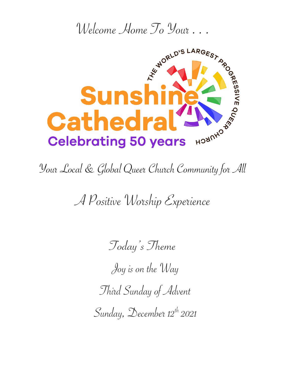

Your Local & Global Queer Church Community for All

A Positive Worship Experience

Today's Theme

Joy is on the Way

Third Sunday of Advent

Sunday, December 12<sup>th</sup> 2021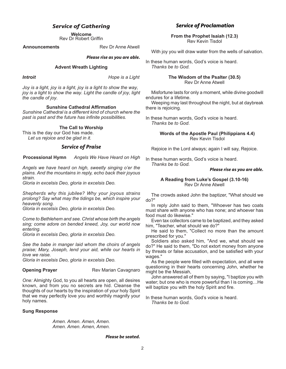## *Service of Gathering*

**Welcome** Rev Dr Robert Griffin

**Announcements** Rev Dr Anne Atwell

#### *Please rise as you are able.*

#### **Advent Wreath Lighting**

*Introit Hope is a Light* 

*Joy is a light, joy is a light, joy is a light to show the way, joy is a light to show the way. Light the candle of joy, light the candle of joy.*

#### **Sunshine Cathedral Affirmation**

*Sunshine Cathedral is a different kind of church where the past is past and the future has infinite possibilities.*

#### **The Call to Worship**

This is the day our God has made.

*Let us rejoice and be glad in it.*

#### *Service of Praise*

**Processional Hymn** *Angels We Have Heard on High* 

*Angels we have heard on high, sweetly singing o'er the plains. And the mountains in reply, echo back their joyous strain.*

*Gloria in excelsis Deo, gloria in excelsis Deo.*

*Shepherds why this jubilee? Why your joyous strains prolong? Say what may the tidings be, which inspire your heavenly song.*

*Gloria in excelsis Deo, gloria in excelsis Deo.*

*Come to Bethlehem and see. Christ whose birth the angels sing; come adore on bended kneed, Joy, our world now entering.*

*Gloria in excelsis Deo, gloria in excelsis Deo.*

*See the babe in manger laid whom the choirs of angels praise; Mary, Joseph, lend your aid, while our hearts in love we raise.*

*Gloria in excelsis Deo, gloria in excelsis Deo.*

#### **Opening Prayer**  Rev Marian Cavagnaro

*One:* Almighty God, to you all hearts are open, all desires known, and from you no secrets are hid. Cleanse the thoughts of our hearts by the inspiration of your holy Spirit that we may perfectly love you and worthily magnify your holy names.

#### **Sung Response**

*Amen. Amen. Amen, Amen. Amen. Amen. Amen, Amen.*

## *Service of Proclamation*

**From the Prophet Isaiah (12.3)**  Rev Kevin Tisdol

With joy you will draw water from the wells of salvation.

In these human words, God's voice is heard. *Thanks be to God.*

#### **The Wisdom of the Psalter (30.5)**  Rev Dr Anne Atwell

Misfortune lasts for only a moment, while divine goodwill endures for a lifetime.

Weeping may last throughout the night, but at daybreak there is rejoicing.

In these human words, God's voice is heard. *Thanks be to God*.

> **Words of the Apostle Paul (Philippians 4.4)**  Rev Kevin Tisdol

Rejoice in the Lord always; again I will say, Rejoice.

In these human words, God's voice is heard. *Thanks be to God.*

#### *Please rise as you are able.*

#### **A Reading from Luke's Gospel (3.10-16)**  Rev Dr Anne Atwell

The crowds asked John the baptizer, "What should we do?"

In reply John said to them, "Whoever has two coats must share with anyone who has none; and whoever has food must do likewise."

Even tax collectors came to be baptized, and they asked him, "Teacher, what should we do?"

He said to them, "Collect no more than the amount prescribed for you."

Soldiers also asked him, "And we, what should we do?" He said to them, "Do not extort money from anyone by threats or false accusation, and be satisfied with your wages."

As the people were filled with expectation, and all were questioning in their hearts concerning John, whether he might be the Messiah,

John answered all of them by saying, "I baptize you with water; but one who is more powerful than I is coming...He will baptize you with the holy Spirit and fire.

In these human words, God's voice is heard. *Thanks be to God.*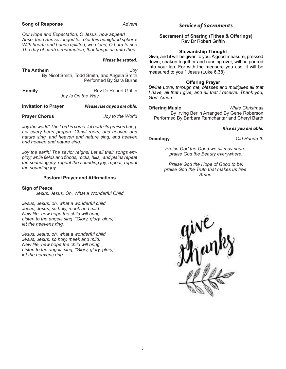#### **Song of Response** *Advent*

*Our Hope and Expectation, O Jesus, now appear! Arise, thou Sun so longed for, o'er this benighted sphere! With hearts and hands uplifted, we plead, O Lord to see The day of earth's redemption, that brings us unto thee.*

#### *Please be seated.*

**The Anthem** *Joy* By Nicol Smith, Todd Smith, and Angela Smith Performed By Sara Burns

**Homily Rev Dr Robert Griffin** *Joy Is On the Way*

**Invitation to Prayer** *Please rise as you are able.*

**Prayer Chorus** *Joy to the World* 

*Joy the world! The Lord is come: let earth its praises bring. Let every heart prepare Christ room, and heaven and nature sing, and heaven and nature sing, and heaven and heaven and nature sing.*

*Joy the earth! The savior reigns! Let all their songs employ; while fields and floods, rocks, hills, ,and plains repeat the sounding joy, repeat the sounding joy, repeat, repeat the sounding joy.*

#### **Pastoral Prayer and Affirmations**

#### **Sign of Peace**

*Jesus, Jesus, Oh, What a Wonderful Child* 

*Jesus, Jesus, oh, what a wonderful child. Jesus, Jesus, so holy, meek and mild: New life, new hope the child will bring. Listen to the angels sing, "Glory, glory, glory," let the heavens ring.*

*Jesus, Jesus, oh, what a wonderful child. Jesus, Jesus, so holy, meek and mild: New life, new hope the child will bring. Listen to the angels sing, "Glory, glory, glory," let the heavens ring.*

#### *Service of Sacraments*

**Sacrament of Sharing (Tithes & Offerings)** Rev Dr Robert Griffin

#### **Stewardship Thought**

Give, and it will be given to you. A good measure, pressed down, shaken together and running over, will be poured into your lap. For with the measure you use, it will be measured to you." Jesus (Luke 6.38)

#### **Offering Prayer**

*Divine Love, through me, blesses and multiplies all that I have, all that I give, and all that I receive. Thank you, God. Amen.*

**Offering Music** *White Christmas* By Irving Berlin Arranged By Gene Roberson Performed By Barbara Ramcharitar and Cheryl Barth

#### *Rise as you are able.*

**Doxology** *Old Hundreth*

*Praise God the Good we all may share; praise God the Beauty everywhere.*

*Praise God the Hope of Good to be; praise God the Truth that makes us free. Amen.*

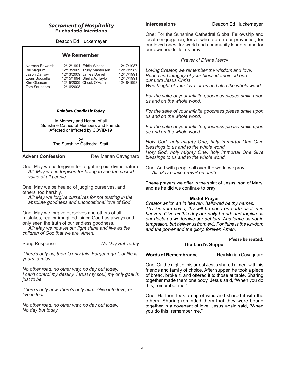#### *Sacrament of Hospitality* **Eucharistic Intentions**

Deacon Ed Huckemeyer

#### **We Remember**

| Norman Edwards<br><b>Bill Magrum</b><br>Jason Darrow<br>Louis Boccella<br>Kim Gleason<br>Tom Saunders | 12/16/2008 | 12/12/1991 Eddie Wright<br>12/13/2009 Trudy Masterson<br>12/13/2009 James Daniel<br>12/15/1994 Shelia A. Taylor<br>12/15/2009 Chuck O'Hara | 12/17/1987<br>12/17/1989<br>12/17/1991<br>12/17/1991<br>12/18/1993 |
|-------------------------------------------------------------------------------------------------------|------------|--------------------------------------------------------------------------------------------------------------------------------------------|--------------------------------------------------------------------|
|                                                                                                       |            |                                                                                                                                            |                                                                    |

#### *Rainbow Candle Lit Today*

In Memory and Honor of all Sunshine Cathedral Members and Friends Affected or Infected by COVID-19

> by The Sunshine Cathedral Staff

**Advent Confession** Rev Marian Cavagnaro

One: May we be forgiven for forgetting our divine nature. *All: May we be forgiven for failing to see the sacred value of all people.*

One: May we be healed of judging ourselves, and others, too harshly.

*All: May we forgive ourselves for not trusting in the absolute goodness and unconditional love of God.*

One: May we forgive ourselves and others of all mistakes, real or imagined, since God has always and only seen the truth of our endless goodness.

*All: May we now let our light shine and live as the children of God that we are. Amen.*

Sung Response *No Day But Today*

*There's only us, there's only this. Forget regret, or life is yours to miss.*

*No other road, no other way, no day but today. I can't control my destiny. I trust my soul, my only goal is just to be.*

*There's only now, there's only here. Give into love, or live in fear.*

*No other road, no other way, no day but today. No day but today.*

**Intercessions** Deacon Ed Huckemeyer

One: For the Sunshine Cathedral Global Fellowship and local congregation, for all who are on our prayer list, for our loved ones, for world and community leaders, and for our own needs, let us pray:

*Prayer of Divine Merc*y

*Loving Creator, we remember the wisdom and love, Peace and integrity of your blessed anointed one – our Lord Jesus Christ Who taught of your love for us and also the whole world*

*For the sake of your infinite goodness please smile upon us and on the whole world.*

*For the sake of your infinite goodness please smile upon us and on the whole world.*

*For the sake of your infinite goodness please smile upon us and on the whole world.*

*Holy God, holy mighty One, holy immortal One Give blessings to us and to the whole world. Holy God, holy mighty One, holy immortal One Give blessings to us and to the whole world.*

One: And with people all over the world we pray – *All: May peace prevail on earth.*

These prayers we offer in the spirit of Jesus, son of Mary, and as he did we continue to pray:

#### **Model Prayer**

*Creator which art in heaven, hallowed be thy names. Thy kin-dom come, thy will be done on earth as it is in heaven. Give us this day our daily bread; and forgive us our debts as we forgive our debtors. And leave us not in temptation, but deliver us from evil. For thine is the kin-dom and the power and the glory, forever. Amen.*

#### *Please be seated.*

### **The Lord's Supper**

**Words of Remembrance** Rev Marian Cavagnaro

One: On the night of his arrest Jesus shared a meal with his friends and family of choice. After supper, he took a piece of bread, broke it, and offered it to those at table. Sharing together made them one body. Jesus said, "When you do this, remember me."

One: He then took a cup of wine and shared it with the others. Sharing reminded them that they were bound together in a covenant of love. Jesus again said, "When you do this, remember me."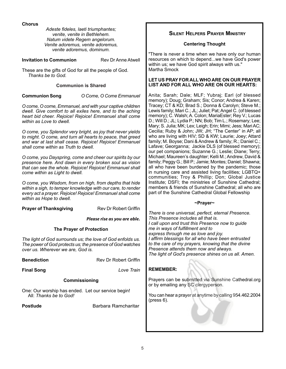#### **Chorus**

*Adeste fideles, laeti triumphantes; venite, venite in Bethlehem. Natum videte Regem angelorum. Venite adoremus, venite adoremus, venite adoremus, dominum.*

**Invitation to Communion Rev Dr Anne Atwell** 

These are the gifts of God for all the people of God. *Thanks be to God.*

**Communion is Shared**

**Communion Song** *O Come, O Come Emmanuel*

*O come, O come, Emmanuel, and with your captive children dwell. Give comfort to all exiles here, and to the aching heart bid cheer. Rejoice! Rejoice! Emmanuel shall come within as Love to dwell.*

*O come, you Splendor very bright, as joy that never yields to might. O come, and turn all hearts to peace, that greed and war at last shall cease. Rejoice! Rejoice! Emmanuel shall come within as Truth to dwell.*

*O come, you Dayspring, come and cheer our spirits by our presence here. And dawn in every broken soul as vision that can see the whole. Rejoice! Rejoice! Emmanuel shall come within as Light to dwell.*

*O come, you Wisdom, from on high, from depths that hide within a sigh, to temper knowledge with our care, to render every act a prayer. Rejoice! Rejoice! Emmanuel shall come within as Hope to dwell.*

**Prayer of Thanksgiving Rev Dr Robert Griffin** 

*Please rise as you are able.*

### **The Prayer of Protection**

*The light of God surrounds us; the love of God enfolds us. The power of God protects us; the presence of God watches over us. Wherever we are, God is.*

| <b>Benediction</b>                                                           | Rev Dr Robert Griffin |  |  |  |
|------------------------------------------------------------------------------|-----------------------|--|--|--|
| <b>Final Song</b>                                                            | Love Train            |  |  |  |
| <b>Commissioning</b>                                                         |                       |  |  |  |
| One: Our worship has ended. Let our service begin!<br>All: Thanks be to God! |                       |  |  |  |
| <b>Postlude</b>                                                              | Barbara Ramcharitar   |  |  |  |

## **Silent Helpers Prayer Ministry**

#### **Centering Thought**

"There is never a time when we have only our human resources on which to depend...we have God's power within us; we have God spirit always with us." Martha Smock

#### **LET US PRAY FOR ALL WHO ARE ON OUR PRAYER LIST AND FOR ALL WHO ARE ON OUR HEARTS:**

Anita; Sarah; Dale; MLF; Yubraj; Earl (of blessed memory); Doug; Graham; Sis; Conor; Andrea & Karen; Tracey; CT & KD; Brad S.; Donna & Carolyn; Steve M.; Lewis family; Mari C.; JL; Juliet; Pat; Angel C. (of blessed memory); C. Walsh; A. Colon; MariaEster; Rey V.; Lucas D.; Will D.; JL; Lydia P.; NN; Bob; Tim L.; Rosemary; Lee; Mary; S. Julia; MK; Lex; Leigh; Erin; Mimi; Jess; Mari AC; Cecilia; Ruby & John; JW; JH; "The Center" in AP; all who are living with HIV; SD & KW; Laurie; Joey; Attard family; M. Boyse; Dani & Andrew & family; R.; Daniel C.; Lafave; Georganna; Jackie DLS (of blessed memory); our pet companions; Suzanne G.; Leslie; Diane; Terry; Michael; Maureen's daughter; Kelli M.; Andrew, David & family; Peggy G.; Bill P.; Jamie; Montes; Daniel; Shawna; all who have been burdened by the pandemic; those in nursing care and assisted living facilities; LGBTQ+ communities; Troy & Phillip; Don; Global Justice Institute; DSFI; the ministries of Sunshine Cathedral; members & friends of Sunshine Cathedral; all who are part of the Sunshine Cathedral Global Fellowship

#### **~Prayer~**

*There is one universal, perfect, eternal Presence. This Presence includes all that is. I call upon and trust this Presence now to guide me in ways of fulfillment and to express through me as love and joy. I affirm blessings for all who have been entrusted to the care of my prayers, knowing that the divine Presence attends them now and always. The light of God's presence shines on us all. Amen.*

### **REMEMBER:**

Prayers can be submitted via Sunshine Cathedral.org or by emailing any SC clergyperson.

You can hear a prayer at anytime by calling 954.462.2004 (press 6).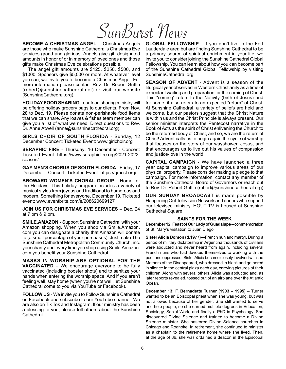SunBurst News

**BECOME A CHRISTMAS ANGEL** – Christmas Angels are those who make Sunshine Cathedral's Christmas Eve services grand and glorious. Angels give gift designated amounts in honor of or in memory of loved ones and those gifts make Christmas Eve celebrations possible.

The angel gift amounts are \$125, \$250, \$500, and \$1000. Sponsors give \$5,000 or more. At whatever level you can, we invite you to become a Christmas Angel. For more information please contact Rev. Dr. Robert Griffin (robert@sunshinecathedral.net) or visit our website (SunshineCathedral.org).

**HOLIDAY FOOD SHARING** - our food sharing ministry will be offering holiday grocery bags to our clients. From Nov. 28 to Dec. 19. Please donate non-perishable food items that we can share. Any loaves & fishes team member can give you a list of what we need. Direct questions to Rev. Dr. Anne Atwell (anne@sunshinecathedral.org).

**GIRLS CHOIR OF SOUTH FLORIDA** - Sunday, 12 December Concert: Ticketed Event: www.girlchoir.org

**SERAPHIC FIRE** - Thursday, 16 December - Concert: Ticketed Event: https://www.seraphicfire.org/2021-2022 season/

**GAY MEN'S CHORUS OF SOUTH FLORIDA** - Friday, 17 December - Concert: Ticketed Event: https://gmcsf.org/

**BROWARD WOMEN'S CHORAL GROUP** - Home for the Holidays. This holiday program includes a variety of musical styles from joyous and traditional to humorous and modern. Something for everyone. December 19. Ticketed event: www.eventbrite.com/e/208620699127

**JOIN US FOR CHRISTMAS EVE SERVICES** – Dec. 24 at 7 pm & 9 pm.

**SMILE.AMAZON** - Support Sunshine Cathedral with your Amazon shopping. When you shop via Smile.Amazon. com you can designate a charity that Amazon will donate to (a small percentage of your purchases). Just make The Sunshine Cathedral Metropolitan Community Church, inc. your charity and every time you shop using Smile.Amazon. com you benefit your Sunshine Cathedral.

**MASKS IN WORSHIP ARE OPTIONAL FOR THE VACCINATED** – We encourage everyone to be fully vaccinated (including booster shots) and to sanitize your hands when entering the worship space. And if you aren't feeling well, stay home (when you're not well, let Sunshine Cathedral come to you via YouTube or Facebook).

**FOLLOW US** - We invite you to Follow Sunshine Cathedral on Facebook and subscribe to our YouTube channel. We are also on Tik Tok and Instagram. If our ministry has been a blessing to you, please tell others about the Sunshine Cathedral.

**GLOBAL FELLOWSHIP** - If you don't live in the Fort Lauderdale area but are finding Sunshine Cathedral to be a primary source of spiritual enrichment in your life, we invite you to consider joining the Sunshine Cathedral Global Fellowship. You can learn about how you can become part of the Sunshine Cathedral Global Fellowship by visiting SunshineCathedral.org

**SEASON OF ADVENT** - Advent is a season of the liturgical year observed in Western Christianity as a time of expectant waiting and preparation for the coming of Christ. This "coming" refers to the Nativity (birth of Jesus) and for some, it also refers to an expected "return" of Christ. At Sunshine Cathedral, a variety of beliefs are held and welcome, but our pastors suggest that the Christ Nature is within us and the Christ Principle is always present. Our senior minister interprets the Pentecost narrative in the Book of Acts as the spirit of Christ enlivening the Church to be the returned body of Christ, and so, we are the return of Christ! Advent calls us to begin again the cycle of worship that focuses on the story of our wayshower, Jesus, and that encourages us to live out his values of compassion and justice-love in the world.

**CAPITAL CAMPAIGN** - We have launched a three year capital campaign to improve various areas of our physical property. Please consider making a pledge to that campaign. For more information, contact any member of the Sunshine Cathedral Board of Governors or reach out to Rev. Dr. Robert Griffin (robert@sunshinecathedral.org)

**OUR SUNDAY BROADCAST** is made possible by Happening Out Television Network and donors who support our televised ministry. HOUT TV is housed at Sunshine Cathedral Square.

#### **SAINTS FOR THE WEEK**

**December 12: Feast of Our Lady of Guadalupe** – commemoration of St. Mary's visitation to Juan Diego

**Sister Alicia Domon (d.1977)**—French nun and martyr. During a period of military dictatorship in Argentina thousands of civilians were abducted and never heard from again, including several French nuns who had devoted themselves to working with the poor and oppressed. Sister Alicia became closely involved with the Mothers of the Disappeared, who dressed in black and gathered in silence in the central plaza each day, carrying pictures of their children. Along with several others, Alicia was abducted and, as later reports revealed, tossed out of an airplane over the Atlantic Ocean.

**December 13: F. Bernadette Turner (1903 – 1995)** – Turner wanted to be an Episcopal priest when she was young, but was not allowed because of her gender. She still wanted to serve and help people, so she earned multiple degrees in Education, Sociology, Social Work, and finally a PhD in Psychology. She discovered Divine Science and trained to become a Divine Science minister. She pastored Divine Science churches in Chicago and Roanoke. In retirement, she continued to minister as a chaplain to the retirement home where she lived. Then, at the age of 86, she was ordained a deacon in the Episcopal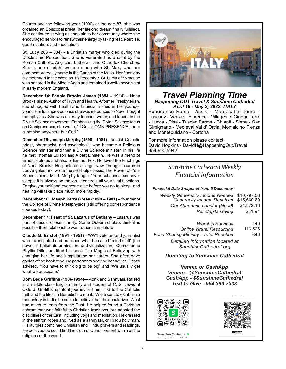Church and the following year (1990) at the age 87, she was ordained an Episcopal priest (her lifelong dream finally fulfilled). She continued serving as chaplain to her community where she encouraged seniors to renew their energy by taking rest, exercise, good nutrition, and meditation.

**St. Lucy 283 – 304)** - a Christian martyr who died during the Diocletianic Persecution. She is venerated as a saint by the Roman Catholic, Anglican, Lutheran, and Orthodox Churches. She is one of eight women along with St. Mary who are commemorated by name in the Canon of the Mass. Her feast day is celebrated in the West on 13 December. St. Lucia of Syracuse was honored in the Middle Ages and remained a well-known saint in early modern England.

**December 14: Fannie Brooks James (1854 – 1914)** – Nona Brooks' sister. Author of Truth and Health. A former Presbyterian, she struggled with health and financial issues in her younger years. Her lot improved once she was introduced to New Thought metaphysics. She was an early teacher, writer, and leader in the Divine Science movement. Emphasizing the Divine Science focus on Omnipresence, she wrote, "If God is OMNIPRESENCE, there is nothing anywhere but God."

**December 15: Joseph Murphy (1898 – 1981)** – an Irish Catholic priest, pharmacist, and psychologist who became a Religious Science minister and then a Divine Science minister. In his life he met Thomas Edison and Albert Einstein. He was a friend of Ernest Holmes and also of Emmet Fox. He loved the teachings of Nona Brooks. He pastored a large New Thought church in Los Angeles and wrote the self-help classic, The Power of Your Subconscious Mind. Murphy taught, "Your subconscious never sleeps. It is always on the job. It controls all your vital functions. Forgive yourself and everyone else before you go to sleep, and healing will take place much more rapidly."

**December 16: Joseph Perry Green (1898 – 1981)** – founder of the College of Divine Metaphysics (still offering correspondence courses today).

**December 17: Feast of St. Lazarus of Bethany** – Lazarus was part of Jesus' chosen family. Some Queer scholars think it is possible their relationship was romantic in nature.

**Claude M. Bristol (1891 - 1951)** - WW1 veteran and journalist who investigated and practiced what he called "mind stuff" (the power of belief, determination, and visualization). Comedienne Phyllis Diller credited his book The Magic of Believing with changing her life and jumpstarting her career. She often gave copies of the book to young performers seeking her advice. Bristol advised, "You have to think big to be big" and "We usually get what we anticipate."

**Dom Bede Griffiths (1906-1994)**—Monk and Sannyasi. Raised in a middle-class English family and student of C. S. Lewis at Oxford, Griffiths' spiritual journey led him first to the Catholic faith and the life of a Benedictine monk. While sent to establish a monastery in India, he came to believe that the secularized West had much to learn from the East. He helped found a Christian ashram that was faithful to Christian traditions, but adopted the disciplines of the East, including yoga and meditation. He dressed in the saffron robes and lived as a sannyasi, or Hindu holy man. His liturgies combined Christian and Hindu prayers and readings. He believed he could find the truth of Christ present within all the religions of the world.



# *Travel Planning Time Happening OUT Travel & Sunshine Cathedral April 19 - May 2, 2022: ITALY*

Experience Rome - Assisi - Montecatini Terme - Tuscany - Venice - Florence - Villages of Cinque Terre - Lucca - Pisa - Tuscan Farms - Chianti - Siena - San Gimignano - Medieval Val d' Orcia, Montalcino Pienza and Montepulciano - Cortona

For more information please contact: David Hopkins - DavidH@HappeningOut.Travel 954.900.5942

# *Sunshine Cathedral Weekly Financial Information*

*Financial Data Snapshot from 5 December*

| <b>Weekly Generosity Income Needed</b><br>Generosity Income Received | \$10,797.56<br>\$15,669.69 |
|----------------------------------------------------------------------|----------------------------|
| Our Abundance and/or (Need)                                          | \$4,872.13                 |
| Per Capita Giving                                                    | \$31.91                    |
| <b>Worship Services</b>                                              | 440                        |
| <b>Online Virtual Resourcing</b>                                     | 116,526                    |
| Food Sharing Ministry - Total Reached                                | 649                        |
| Detailed information located at<br>SunshineCathedral.org             |                            |

*Donating to Sunshine Cathedral* 

*Venmo or CashApp Venmo - @SunshineCathedral CashApp - \$SunshineCathedral Text to Give - 954.399.7333*



Sunshine Cathedral **B** Scan to pay \$SunshineCathedra



venma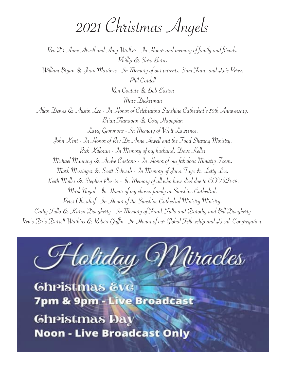2021 Christmas Angels

Rev Dr Anne Atwell and Amy Walker - In Honor and memory of family and friends. Phillip & Sara Burns William Bryan & Juan Martinze - In Memory of our parents, Sam Fata, and Luis Perez. Phil Cordell Ron Couture & Bob Easton Marc Dickerman Allan Dewes & Austin Lee - In Honor of Celebrating Sunshine Cathedral's 50th Anniversary. Brian Flanagan & Cory Hagopian Larry Gammons - In Memory of Walt Lawrence. John Kent - In Honor of Rev Dr Anne Atwell and the Food Sharing Ministry. Rick Killoran - In Memory of my husband, Dave Keller Michael Manning & Andre Caetano - In Honor of our fabulous Ministry Team. Mark Messinger & Scott Schwab - In Memory of Juna Faye & Letty Lee. Keith Muller & Stephen Plescia - In Memory of all who have died due to COVID-19. Mark Nogal - In Honor of my chosen family at Sunshine Cathedral. Peter Oberdorf - In Honor of the Sunshine Cathedral Ministry Ministry. Cathy Tullo & Karen Dougherty - In Memory of Frank Tullo and Dorothy and Bill Dougherty Rev's Dr's Durrell Watkins & Robert Griffin - In Honor of our Global Fellowship and Local Congregation.

F toliday (Whacles

**Christmas &ver 7pm & 9pm - Live Broadcast Ghristmas Day Noon - Live Broadcast Only**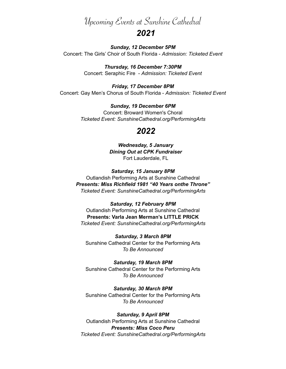# Upcoming Events at Sunshine Cathedral

# *2021*

*Sunday, 12 December 5PM* Concert: The Girls' Choir of South Florida - *Admission: Ticketed Event*

> *Thursday, 16 December 7:30PM* Concert: Seraphic Fire - *Admission: Ticketed Event*

*Friday, 17 December 8PM* Concert: Gay Men's Chorus of South Florida - *Admission: Ticketed Event*

> *Sunday, 19 December 6PM* Concert: Broward Women's Choral *Ticketed Event: SunshineCathedral.org/PerformingArts*

# *2022*

*Wednesday, 5 January Dining Out at CPK Fundraiser* Fort Lauderdale, FL

*Saturday, 15 January 8PM* Outlandish Performing Arts at Sunshine Cathedral *Presents: Miss Richfield 1981 "40 Years onthe Throne" Ticketed Event: SunshineCathedral.org/PerformingArts*

*Saturday, 12 February 8PM*

Outlandish Performing Arts at Sunshine Cathedral **Presents: Varla Jean Merman's LITTLE PRICK** *Ticketed Event: SunshineCathedral.org/PerformingArts*

*Saturday, 3 March 8PM* Sunshine Cathedral Center for the Performing Arts *To Be Announced*

*Saturday, 19 March 8PM* Sunshine Cathedral Center for the Performing Arts *To Be Announced*

*Saturday, 30 March 8PM* Sunshine Cathedral Center for the Performing Arts *To Be Announced*

*Saturday, 9 April 8PM* Outlandish Performing Arts at Sunshine Cathedral *Presents: Miss Coco Peru Ticketed Event: SunshineCathedral.org/PerformingArts*